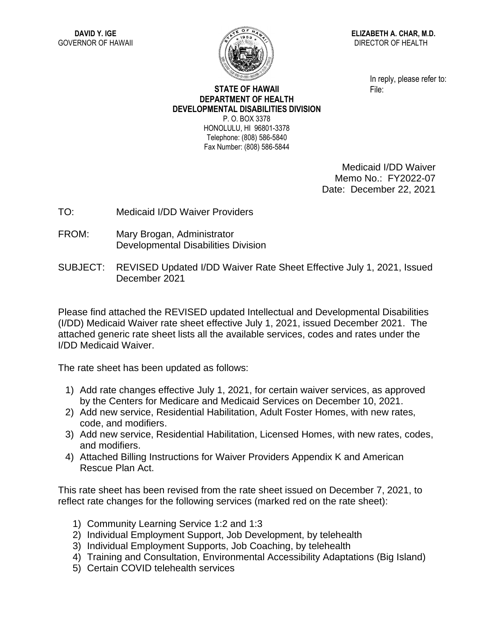

**ELIZABETH A. CHAR, M.D.** DIRECTOR OF HEALTH

> In reply, please refer to: File:

## **STATE OF HAWAII DEPARTMENT OF HEALTH DEVELOPMENTAL DISABILITIES DIVISION** P. O. BOX 3378

HONOLULU, HI 96801-3378 Telephone: (808) 586-5840 Fax Number: (808) 586-5844

> Medicaid I/DD Waiver Memo No.: FY2022-07 Date: December 22, 2021

- TO: Medicaid I/DD Waiver Providers
- FROM: Mary Brogan, Administrator Developmental Disabilities Division
- SUBJECT: REVISED Updated I/DD Waiver Rate Sheet Effective July 1, 2021, Issued December 2021

Please find attached the REVISED updated Intellectual and Developmental Disabilities (I/DD) Medicaid Waiver rate sheet effective July 1, 2021, issued December 2021. The attached generic rate sheet lists all the available services, codes and rates under the I/DD Medicaid Waiver.

The rate sheet has been updated as follows:

- 1) Add rate changes effective July 1, 2021, for certain waiver services, as approved by the Centers for Medicare and Medicaid Services on December 10, 2021.
- 2) Add new service, Residential Habilitation, Adult Foster Homes, with new rates, code, and modifiers.
- 3) Add new service, Residential Habilitation, Licensed Homes, with new rates, codes, and modifiers.
- 4) Attached Billing Instructions for Waiver Providers Appendix K and American Rescue Plan Act.

This rate sheet has been revised from the rate sheet issued on December 7, 2021, to reflect rate changes for the following services (marked red on the rate sheet):

- 1) Community Learning Service 1:2 and 1:3
- 2) Individual Employment Support, Job Development, by telehealth
- 3) Individual Employment Supports, Job Coaching, by telehealth
- 4) Training and Consultation, Environmental Accessibility Adaptations (Big Island)
- 5) Certain COVID telehealth services